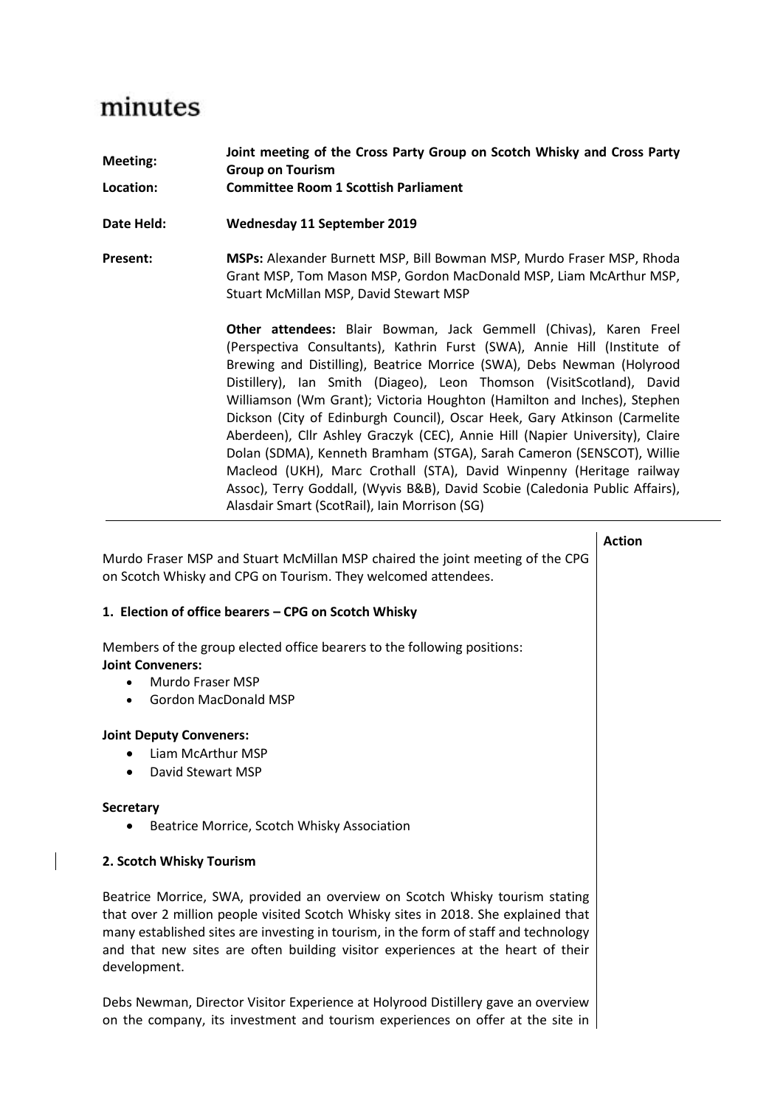# minutes

| Meeting:<br>Location: | Joint meeting of the Cross Party Group on Scotch Whisky and Cross Party<br><b>Group on Tourism</b><br><b>Committee Room 1 Scottish Parliament</b>                                                                                                                                                                                                                                                                                                                                                                                                                                                                                                                                                                                                                                                                         |
|-----------------------|---------------------------------------------------------------------------------------------------------------------------------------------------------------------------------------------------------------------------------------------------------------------------------------------------------------------------------------------------------------------------------------------------------------------------------------------------------------------------------------------------------------------------------------------------------------------------------------------------------------------------------------------------------------------------------------------------------------------------------------------------------------------------------------------------------------------------|
| Date Held:            | Wednesday 11 September 2019                                                                                                                                                                                                                                                                                                                                                                                                                                                                                                                                                                                                                                                                                                                                                                                               |
| Present:              | MSPs: Alexander Burnett MSP, Bill Bowman MSP, Murdo Fraser MSP, Rhoda<br>Grant MSP, Tom Mason MSP, Gordon MacDonald MSP, Liam McArthur MSP,<br>Stuart McMillan MSP, David Stewart MSP                                                                                                                                                                                                                                                                                                                                                                                                                                                                                                                                                                                                                                     |
|                       | Other attendees: Blair Bowman, Jack Gemmell (Chivas), Karen Freel<br>(Perspectiva Consultants), Kathrin Furst (SWA), Annie Hill (Institute of<br>Brewing and Distilling), Beatrice Morrice (SWA), Debs Newman (Holyrood<br>Distillery), Ian Smith (Diageo), Leon Thomson (VisitScotland), David<br>Williamson (Wm Grant); Victoria Houghton (Hamilton and Inches), Stephen<br>Dickson (City of Edinburgh Council), Oscar Heek, Gary Atkinson (Carmelite<br>Aberdeen), Cllr Ashley Graczyk (CEC), Annie Hill (Napier University), Claire<br>Dolan (SDMA), Kenneth Bramham (STGA), Sarah Cameron (SENSCOT), Willie<br>Macleod (UKH), Marc Crothall (STA), David Winpenny (Heritage railway<br>Assoc), Terry Goddall, (Wyvis B&B), David Scobie (Caledonia Public Affairs),<br>Alasdair Smart (ScotRail), Iain Morrison (SG) |
|                       | <b>Action</b>                                                                                                                                                                                                                                                                                                                                                                                                                                                                                                                                                                                                                                                                                                                                                                                                             |

Murdo Fraser MSP and Stuart McMillan MSP chaired the joint meeting of the CPG on Scotch Whisky and CPG on Tourism. They welcomed attendees.

### **1. Election of office bearers – CPG on Scotch Whisky**

Members of the group elected office bearers to the following positions: **Joint Conveners:**

- Murdo Fraser MSP
- Gordon MacDonald MSP

## **Joint Deputy Conveners:**

- Liam McArthur MSP
- David Stewart MSP

### **Secretary**

• Beatrice Morrice, Scotch Whisky Association

## **2. Scotch Whisky Tourism**

Beatrice Morrice, SWA, provided an overview on Scotch Whisky tourism stating that over 2 million people visited Scotch Whisky sites in 2018. She explained that many established sites are investing in tourism, in the form of staff and technology and that new sites are often building visitor experiences at the heart of their development.

Debs Newman, Director Visitor Experience at Holyrood Distillery gave an overview on the company, its investment and tourism experiences on offer at the site in